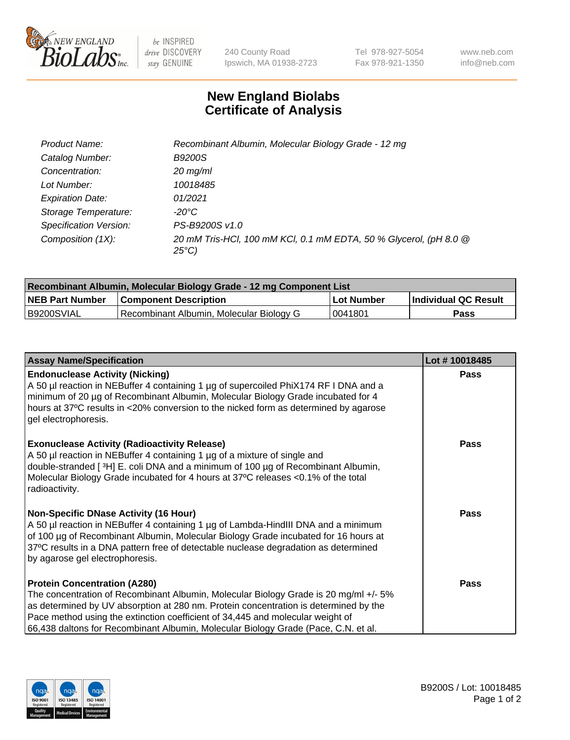

 $be$  INSPIRED drive DISCOVERY stay GENUINE

240 County Road Ipswich, MA 01938-2723 Tel 978-927-5054 Fax 978-921-1350 www.neb.com info@neb.com

## **New England Biolabs Certificate of Analysis**

| Product Name:                 | Recombinant Albumin, Molecular Biology Grade - 12 mg                                 |
|-------------------------------|--------------------------------------------------------------------------------------|
| Catalog Number:               | <b>B9200S</b>                                                                        |
| Concentration:                | $20$ mg/ml                                                                           |
| Lot Number:                   | 10018485                                                                             |
| <b>Expiration Date:</b>       | 01/2021                                                                              |
| Storage Temperature:          | -20°C                                                                                |
| <b>Specification Version:</b> | PS-B9200S v1.0                                                                       |
| Composition (1X):             | 20 mM Tris-HCl, 100 mM KCl, 0.1 mM EDTA, 50 % Glycerol, (pH 8.0 @<br>$25^{\circ}C$ ) |

| Recombinant Albumin, Molecular Biology Grade - 12 mg Component List |                                          |            |                      |  |
|---------------------------------------------------------------------|------------------------------------------|------------|----------------------|--|
| <b>NEB Part Number</b>                                              | <b>Component Description</b>             | Lot Number | Individual QC Result |  |
| IB9200SVIAL                                                         | Recombinant Albumin, Molecular Biology G | 0041801    | Pass                 |  |

| <b>Assay Name/Specification</b>                                                                                                                                                                                                                                                                                                                                                             | Lot #10018485 |
|---------------------------------------------------------------------------------------------------------------------------------------------------------------------------------------------------------------------------------------------------------------------------------------------------------------------------------------------------------------------------------------------|---------------|
| <b>Endonuclease Activity (Nicking)</b><br>A 50 µl reaction in NEBuffer 4 containing 1 µg of supercoiled PhiX174 RF I DNA and a<br>minimum of 20 µg of Recombinant Albumin, Molecular Biology Grade incubated for 4<br>hours at 37°C results in <20% conversion to the nicked form as determined by agarose<br>gel electrophoresis.                                                          | <b>Pass</b>   |
| <b>Exonuclease Activity (Radioactivity Release)</b><br>A 50 µl reaction in NEBuffer 4 containing 1 µg of a mixture of single and<br>double-stranded [3H] E. coli DNA and a minimum of 100 μg of Recombinant Albumin,<br>Molecular Biology Grade incubated for 4 hours at 37°C releases <0.1% of the total<br>radioactivity.                                                                 | Pass          |
| <b>Non-Specific DNase Activity (16 Hour)</b><br>A 50 µl reaction in NEBuffer 4 containing 1 µg of Lambda-HindIII DNA and a minimum<br>of 100 µg of Recombinant Albumin, Molecular Biology Grade incubated for 16 hours at<br>37°C results in a DNA pattern free of detectable nuclease degradation as determined<br>by agarose gel electrophoresis.                                         | Pass          |
| <b>Protein Concentration (A280)</b><br>The concentration of Recombinant Albumin, Molecular Biology Grade is 20 mg/ml +/- 5%<br>as determined by UV absorption at 280 nm. Protein concentration is determined by the<br>Pace method using the extinction coefficient of 34,445 and molecular weight of<br>66,438 daltons for Recombinant Albumin, Molecular Biology Grade (Pace, C.N. et al. | <b>Pass</b>   |